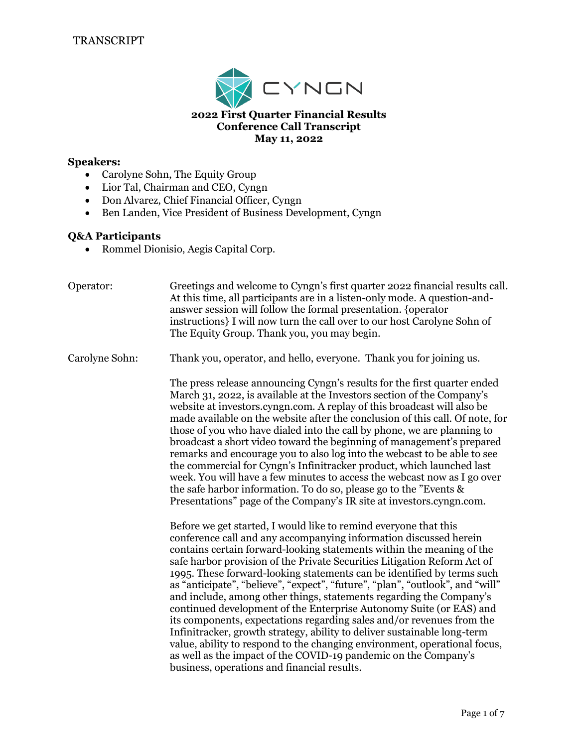

## **Speakers:**

- Carolyne Sohn, The Equity Group
- Lior Tal, Chairman and CEO, Cyngn
- Don Alvarez, Chief Financial Officer, Cyngn
- Ben Landen, Vice President of Business Development, Cyngn

### **Q&A Participants**

• Rommel Dionisio, Aegis Capital Corp.

| Operator:      | Greetings and welcome to Cyngn's first quarter 2022 financial results call.<br>At this time, all participants are in a listen-only mode. A question-and-<br>answer session will follow the formal presentation. {operator<br>instructions} I will now turn the call over to our host Carolyne Sohn of<br>The Equity Group. Thank you, you may begin.                                                                                                                                                                                                                                                                                                                                                                                                                                                                                                                                                                                                                                                                                                                                                                                                                                                                                                                                                                                                                             |
|----------------|----------------------------------------------------------------------------------------------------------------------------------------------------------------------------------------------------------------------------------------------------------------------------------------------------------------------------------------------------------------------------------------------------------------------------------------------------------------------------------------------------------------------------------------------------------------------------------------------------------------------------------------------------------------------------------------------------------------------------------------------------------------------------------------------------------------------------------------------------------------------------------------------------------------------------------------------------------------------------------------------------------------------------------------------------------------------------------------------------------------------------------------------------------------------------------------------------------------------------------------------------------------------------------------------------------------------------------------------------------------------------------|
| Carolyne Sohn: | Thank you, operator, and hello, everyone. Thank you for joining us.                                                                                                                                                                                                                                                                                                                                                                                                                                                                                                                                                                                                                                                                                                                                                                                                                                                                                                                                                                                                                                                                                                                                                                                                                                                                                                              |
|                | The press release announcing Cyngn's results for the first quarter ended<br>March 31, 2022, is available at the Investors section of the Company's<br>website at investors.cyngn.com. A replay of this broadcast will also be<br>made available on the website after the conclusion of this call. Of note, for<br>those of you who have dialed into the call by phone, we are planning to<br>broadcast a short video toward the beginning of management's prepared<br>remarks and encourage you to also log into the webcast to be able to see<br>the commercial for Cyngn's Infinitracker product, which launched last<br>week. You will have a few minutes to access the webcast now as I go over<br>the safe harbor information. To do so, please go to the "Events &<br>Presentations" page of the Company's IR site at investors.cyngn.com.<br>Before we get started, I would like to remind everyone that this<br>conference call and any accompanying information discussed herein<br>contains certain forward-looking statements within the meaning of the<br>safe harbor provision of the Private Securities Litigation Reform Act of<br>1995. These forward-looking statements can be identified by terms such<br>as "anticipate", "believe", "expect", "future", "plan", "outlook", and "will"<br>and include, among other things, statements regarding the Company's |
|                | continued development of the Enterprise Autonomy Suite (or EAS) and<br>its components, expectations regarding sales and/or revenues from the<br>Infinitracker, growth strategy, ability to deliver sustainable long-term<br>value, ability to respond to the changing environment, operational focus,<br>as well as the impact of the COVID-19 pandemic on the Company's<br>business, operations and financial results.                                                                                                                                                                                                                                                                                                                                                                                                                                                                                                                                                                                                                                                                                                                                                                                                                                                                                                                                                          |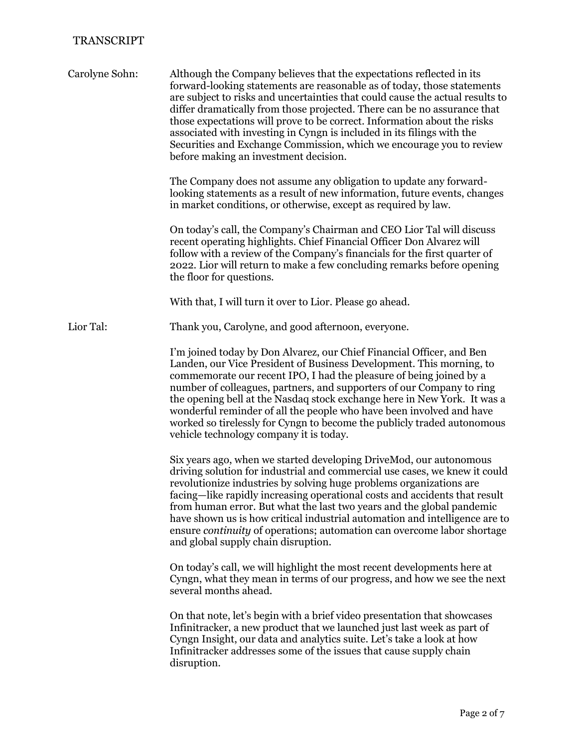| Carolyne Sohn: | Although the Company believes that the expectations reflected in its<br>forward-looking statements are reasonable as of today, those statements<br>are subject to risks and uncertainties that could cause the actual results to<br>differ dramatically from those projected. There can be no assurance that<br>those expectations will prove to be correct. Information about the risks<br>associated with investing in Cyngn is included in its filings with the<br>Securities and Exchange Commission, which we encourage you to review<br>before making an investment decision.    |
|----------------|----------------------------------------------------------------------------------------------------------------------------------------------------------------------------------------------------------------------------------------------------------------------------------------------------------------------------------------------------------------------------------------------------------------------------------------------------------------------------------------------------------------------------------------------------------------------------------------|
|                | The Company does not assume any obligation to update any forward-<br>looking statements as a result of new information, future events, changes<br>in market conditions, or otherwise, except as required by law.                                                                                                                                                                                                                                                                                                                                                                       |
|                | On today's call, the Company's Chairman and CEO Lior Tal will discuss<br>recent operating highlights. Chief Financial Officer Don Alvarez will<br>follow with a review of the Company's financials for the first quarter of<br>2022. Lior will return to make a few concluding remarks before opening<br>the floor for questions.                                                                                                                                                                                                                                                      |
|                | With that, I will turn it over to Lior. Please go ahead.                                                                                                                                                                                                                                                                                                                                                                                                                                                                                                                               |
| Lior Tal:      | Thank you, Carolyne, and good afternoon, everyone.                                                                                                                                                                                                                                                                                                                                                                                                                                                                                                                                     |
|                | I'm joined today by Don Alvarez, our Chief Financial Officer, and Ben<br>Landen, our Vice President of Business Development. This morning, to<br>commemorate our recent IPO, I had the pleasure of being joined by a<br>number of colleagues, partners, and supporters of our Company to ring<br>the opening bell at the Nasdaq stock exchange here in New York. It was a<br>wonderful reminder of all the people who have been involved and have<br>worked so tirelessly for Cyngn to become the publicly traded autonomous<br>vehicle technology company it is today.                |
|                | Six years ago, when we started developing DriveMod, our autonomous<br>driving solution for industrial and commercial use cases, we knew it could<br>revolutionize industries by solving huge problems organizations are<br>facing—like rapidly increasing operational costs and accidents that result<br>from human error. But what the last two years and the global pandemic<br>have shown us is how critical industrial automation and intelligence are to<br>ensure <i>continuity</i> of operations; automation can overcome labor shortage<br>and global supply chain disruption. |
|                | On today's call, we will highlight the most recent developments here at<br>Cyngn, what they mean in terms of our progress, and how we see the next<br>several months ahead.                                                                                                                                                                                                                                                                                                                                                                                                            |
|                | On that note, let's begin with a brief video presentation that showcases<br>Infinitracker, a new product that we launched just last week as part of<br>Cyngn Insight, our data and analytics suite. Let's take a look at how<br>Infinitracker addresses some of the issues that cause supply chain<br>disruption.                                                                                                                                                                                                                                                                      |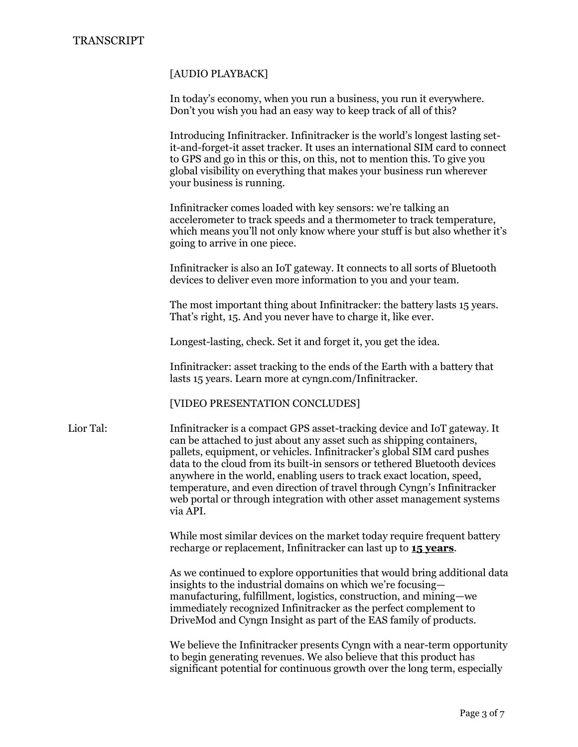#### [AUDIO PLAYBACK]

In today's economy, when you run a business, you run it everywhere. Don't you wish you had an easy way to keep track of all of this?

Introducing Infinitracker. Infinitracker is the world's longest lasting setit-and-forget-it asset tracker. It uses an international SIM card to connect to GPS and go in this or this, on this, not to mention this. To give you global visibility on everything that makes your business run wherever your business is running.

Infinitracker comes loaded with key sensors: we're talking an accelerometer to track speeds and a thermometer to track temperature, which means you'll not only know where your stuff is but also whether it's going to arrive in one piece.

Infinitracker is also an IoT gateway. It connects to all sorts of Bluetooth devices to deliver even more information to you and your team.

The most important thing about Infinitracker: the battery lasts 15 years. That's right, 15. And you never have to charge it, like ever.

Longest-lasting, check. Set it and forget it, you get the idea.

Infinitracker: asset tracking to the ends of the Earth with a battery that lasts 15 years. Learn more at cyngn.com/Infinitracker.

[VIDEO PRESENTATION CONCLUDES]

Lior Tal: Infinitracker is a compact GPS asset-tracking device and IoT gateway. It can be attached to just about any asset such as shipping containers, pallets, equipment, or vehicles. Infinitracker's global SIM card pushes data to the cloud from its built-in sensors or tethered Bluetooth devices anywhere in the world, enabling users to track exact location, speed, temperature, and even direction of travel through Cyngn's Infinitracker web portal or through integration with other asset management systems via API.

> While most similar devices on the market today require frequent battery recharge or replacement, Infinitracker can last up to **15 years**.

As we continued to explore opportunities that would bring additional data insights to the industrial domains on which we're focusing manufacturing, fulfillment, logistics, construction, and mining—we immediately recognized Infinitracker as the perfect complement to DriveMod and Cyngn Insight as part of the EAS family of products.

We believe the Infinitracker presents Cyngn with a near-term opportunity to begin generating revenues. We also believe that this product has significant potential for continuous growth over the long term, especially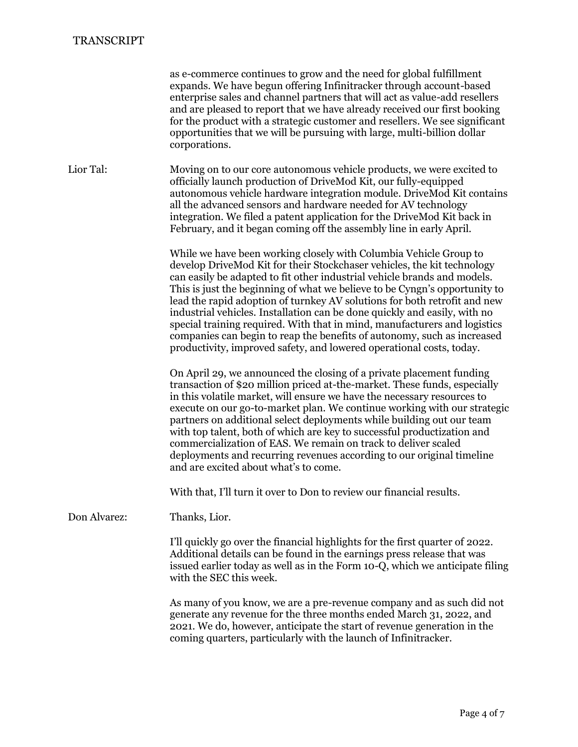|              | as e-commerce continues to grow and the need for global fulfillment<br>expands. We have begun offering Infinitracker through account-based<br>enterprise sales and channel partners that will act as value-add resellers<br>and are pleased to report that we have already received our first booking<br>for the product with a strategic customer and resellers. We see significant<br>opportunities that we will be pursuing with large, multi-billion dollar<br>corporations.                                                                                                                                                                                                                 |
|--------------|--------------------------------------------------------------------------------------------------------------------------------------------------------------------------------------------------------------------------------------------------------------------------------------------------------------------------------------------------------------------------------------------------------------------------------------------------------------------------------------------------------------------------------------------------------------------------------------------------------------------------------------------------------------------------------------------------|
| Lior Tal:    | Moving on to our core autonomous vehicle products, we were excited to<br>officially launch production of DriveMod Kit, our fully-equipped<br>autonomous vehicle hardware integration module. DriveMod Kit contains<br>all the advanced sensors and hardware needed for AV technology<br>integration. We filed a patent application for the DriveMod Kit back in<br>February, and it began coming off the assembly line in early April.                                                                                                                                                                                                                                                           |
|              | While we have been working closely with Columbia Vehicle Group to<br>develop DriveMod Kit for their Stockchaser vehicles, the kit technology<br>can easily be adapted to fit other industrial vehicle brands and models.<br>This is just the beginning of what we believe to be Cyngn's opportunity to<br>lead the rapid adoption of turnkey AV solutions for both retrofit and new<br>industrial vehicles. Installation can be done quickly and easily, with no<br>special training required. With that in mind, manufacturers and logistics<br>companies can begin to reap the benefits of autonomy, such as increased<br>productivity, improved safety, and lowered operational costs, today. |
|              | On April 29, we announced the closing of a private placement funding<br>transaction of \$20 million priced at-the-market. These funds, especially<br>in this volatile market, will ensure we have the necessary resources to<br>execute on our go-to-market plan. We continue working with our strategic<br>partners on additional select deployments while building out our team<br>with top talent, both of which are key to successful productization and<br>commercialization of EAS. We remain on track to deliver scaled<br>deployments and recurring revenues according to our original timeline<br>and are excited about what's to come.                                                 |
|              | With that, I'll turn it over to Don to review our financial results.                                                                                                                                                                                                                                                                                                                                                                                                                                                                                                                                                                                                                             |
| Don Alvarez: | Thanks, Lior.                                                                                                                                                                                                                                                                                                                                                                                                                                                                                                                                                                                                                                                                                    |
|              | I'll quickly go over the financial highlights for the first quarter of 2022.<br>Additional details can be found in the earnings press release that was<br>issued earlier today as well as in the Form 10-Q, which we anticipate filing<br>with the SEC this week.                                                                                                                                                                                                                                                                                                                                                                                                                                |
|              | As many of you know, we are a pre-revenue company and as such did not<br>generate any revenue for the three months ended March 31, 2022, and<br>2021. We do, however, anticipate the start of revenue generation in the<br>coming quarters, particularly with the launch of Infinitracker.                                                                                                                                                                                                                                                                                                                                                                                                       |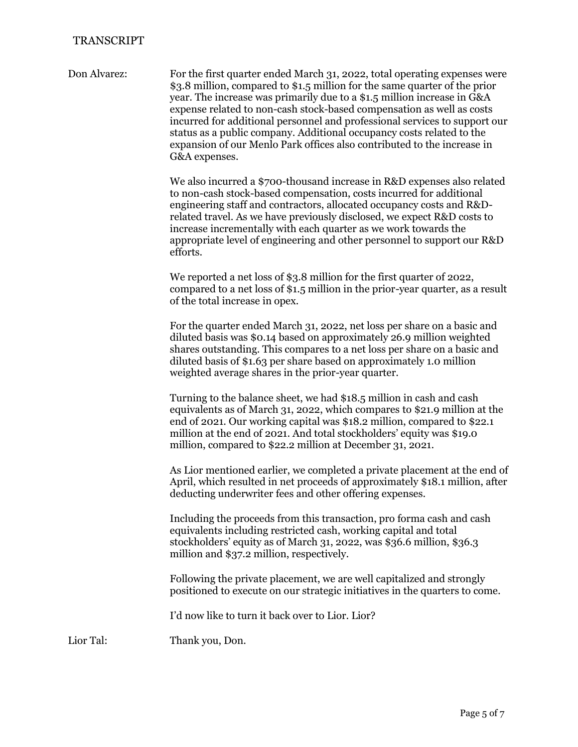Don Alvarez: For the first quarter ended March 31, 2022, total operating expenses were \$3.8 million, compared to \$1.5 million for the same quarter of the prior year. The increase was primarily due to a \$1.5 million increase in G&A expense related to non-cash stock-based compensation as well as costs incurred for additional personnel and professional services to support our status as a public company. Additional occupancy costs related to the expansion of our Menlo Park offices also contributed to the increase in G&A expenses.

> We also incurred a \$700-thousand increase in R&D expenses also related to non-cash stock-based compensation, costs incurred for additional engineering staff and contractors, allocated occupancy costs and R&Drelated travel. As we have previously disclosed, we expect R&D costs to increase incrementally with each quarter as we work towards the appropriate level of engineering and other personnel to support our R&D efforts.

> We reported a net loss of \$3.8 million for the first quarter of 2022, compared to a net loss of \$1.5 million in the prior-year quarter, as a result of the total increase in opex.

For the quarter ended March 31, 2022, net loss per share on a basic and diluted basis was \$0.14 based on approximately 26.9 million weighted shares outstanding. This compares to a net loss per share on a basic and diluted basis of \$1.63 per share based on approximately 1.0 million weighted average shares in the prior-year quarter.

Turning to the balance sheet, we had \$18.5 million in cash and cash equivalents as of March 31, 2022, which compares to \$21.9 million at the end of 2021. Our working capital was \$18.2 million, compared to \$22.1 million at the end of 2021. And total stockholders' equity was \$19.0 million, compared to \$22.2 million at December 31, 2021.

As Lior mentioned earlier, we completed a private placement at the end of April, which resulted in net proceeds of approximately \$18.1 million, after deducting underwriter fees and other offering expenses.

Including the proceeds from this transaction, pro forma cash and cash equivalents including restricted cash, working capital and total stockholders' equity as of March 31, 2022, was \$36.6 million, \$36.3 million and \$37.2 million, respectively.

Following the private placement, we are well capitalized and strongly positioned to execute on our strategic initiatives in the quarters to come.

I'd now like to turn it back over to Lior. Lior?

Lior Tal: Thank you, Don.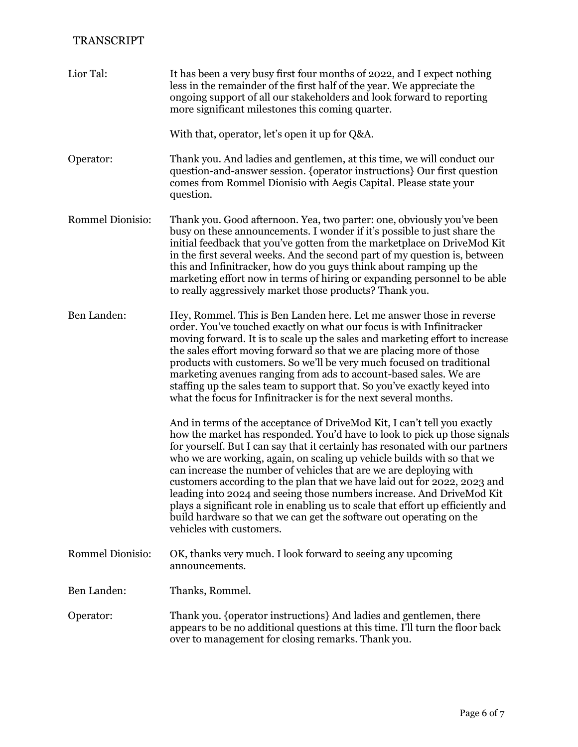| Lior Tal:               | It has been a very busy first four months of 2022, and I expect nothing<br>less in the remainder of the first half of the year. We appreciate the<br>ongoing support of all our stakeholders and look forward to reporting<br>more significant milestones this coming quarter.                                                                                                                                                                                                                                                                                                                                                                                                                                                     |
|-------------------------|------------------------------------------------------------------------------------------------------------------------------------------------------------------------------------------------------------------------------------------------------------------------------------------------------------------------------------------------------------------------------------------------------------------------------------------------------------------------------------------------------------------------------------------------------------------------------------------------------------------------------------------------------------------------------------------------------------------------------------|
|                         | With that, operator, let's open it up for Q&A.                                                                                                                                                                                                                                                                                                                                                                                                                                                                                                                                                                                                                                                                                     |
| Operator:               | Thank you. And ladies and gentlemen, at this time, we will conduct our<br>question-and-answer session. {operator instructions} Our first question<br>comes from Rommel Dionisio with Aegis Capital. Please state your<br>question.                                                                                                                                                                                                                                                                                                                                                                                                                                                                                                 |
| <b>Rommel Dionisio:</b> | Thank you. Good afternoon. Yea, two parter: one, obviously you've been<br>busy on these announcements. I wonder if it's possible to just share the<br>initial feedback that you've gotten from the marketplace on DriveMod Kit<br>in the first several weeks. And the second part of my question is, between<br>this and Infinitracker, how do you guys think about ramping up the<br>marketing effort now in terms of hiring or expanding personnel to be able<br>to really aggressively market those products? Thank you.                                                                                                                                                                                                        |
| Ben Landen:             | Hey, Rommel. This is Ben Landen here. Let me answer those in reverse<br>order. You've touched exactly on what our focus is with Infinitracker<br>moving forward. It is to scale up the sales and marketing effort to increase<br>the sales effort moving forward so that we are placing more of those<br>products with customers. So we'll be very much focused on traditional<br>marketing avenues ranging from ads to account-based sales. We are<br>staffing up the sales team to support that. So you've exactly keyed into<br>what the focus for Infinitracker is for the next several months.                                                                                                                                |
|                         | And in terms of the acceptance of DriveMod Kit, I can't tell you exactly<br>how the market has responded. You'd have to look to pick up those signals<br>for yourself. But I can say that it certainly has resonated with our partners<br>who we are working, again, on scaling up vehicle builds with so that we<br>can increase the number of vehicles that are we are deploying with<br>customers according to the plan that we have laid out for 2022, 2023 and<br>leading into 2024 and seeing those numbers increase. And DriveMod Kit<br>plays a significant role in enabling us to scale that effort up efficiently and<br>build hardware so that we can get the software out operating on the<br>vehicles with customers. |
| <b>Rommel Dionisio:</b> | OK, thanks very much. I look forward to seeing any upcoming<br>announcements.                                                                                                                                                                                                                                                                                                                                                                                                                                                                                                                                                                                                                                                      |
| Ben Landen:             | Thanks, Rommel.                                                                                                                                                                                                                                                                                                                                                                                                                                                                                                                                                                                                                                                                                                                    |
| Operator:               | Thank you. {operator instructions} And ladies and gentlemen, there<br>appears to be no additional questions at this time. I'll turn the floor back<br>over to management for closing remarks. Thank you.                                                                                                                                                                                                                                                                                                                                                                                                                                                                                                                           |